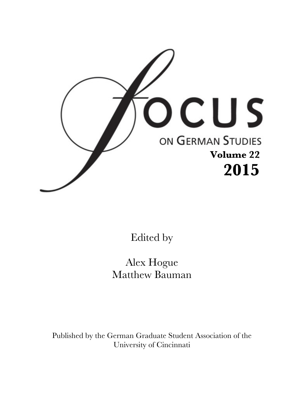

Edited by

Alex Hogue Matthew Bauman

Published by the German Graduate Student Association of the University of Cincinnati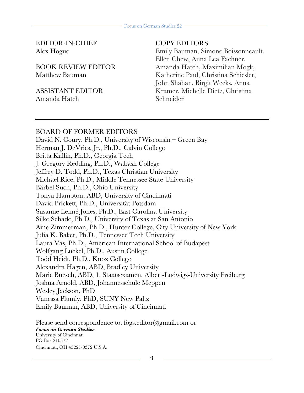## EDITOR-IN-CHIEF Alex Hogue

BOOK REVIEW EDITOR Matthew Bauman

ASSISTANT EDITOR Amanda Hatch

### COPY EDITORS

Emily Bauman, Simone Boissonneault, Ellen Chew, Anna Lea Fächner, Amanda Hatch, Maximilian Mogk, Katherine Paul, Christina Schiesler, John Shahan, Birgit Weeks, Anna Kramer, Michelle Dietz, Christina Schneider

## BOARD OF FORMER EDITORS

David N. Coury, Ph.D., University of Wisconsin – Green Bay Herman J. DeVries, Jr., Ph.D., Calvin College Britta Kallin, Ph.D., Georgia Tech J. Gregory Redding, Ph.D., Wabash College Jeffrey D. Todd, Ph.D., Texas Christian University Michael Rice, Ph.D., Middle Tennessee State University Bärbel Such, Ph.D., Ohio University Tonya Hampton, ABD, University of Cincinnati David Prickett, Ph.D., Universität Potsdam Susanne Lenné Jones, Ph.D., East Carolina University Silke Schade, Ph.D., University of Texas at San Antonio Aine Zimmerman, Ph.D., Hunter College, City University of New York Julia K. Baker, Ph.D., Tennessee Tech University Laura Vas, Ph.D., American International School of Budapest Wolfgang Lückel, Ph.D., Austin College Todd Heidt, Ph.D., Knox College Alexandra Hagen, ABD, Bradley University Marie Buesch, ABD, 1. Staatsexamen, Albert-Ludwigs-University Freiburg Joshua Arnold, ABD, Johannesschule Meppen Wesley Jackson, PhD Vanessa Plumly, PhD, SUNY New Paltz Emily Bauman, ABD, University of Cincinnati

Please send correspondence to: fogs.editor@gmail.com or *Focus on German Studies* University of Cincinnati PO Box 210372 Cincinnati, OH 45221-0372 U.S.A.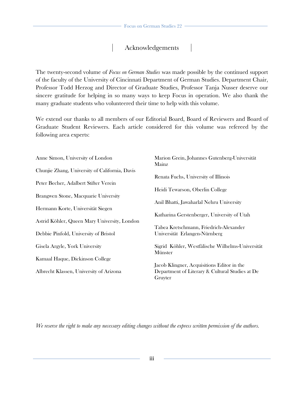# Acknowledgements

The twenty-second volume of *Focus on German Studies* was made possible by the continued support of the faculty of the University of Cincinnati Department of German Studies. Department Chair, Professor Todd Herzog and Director of Graduate Studies, Professor Tanja Nusser deserve our sincere gratitude for helping in so many ways to keep Focus in operation. We also thank the many graduate students who volunteered their time to help with this volume.

We extend our thanks to all members of our Editorial Board, Board of Reviewers and Board of Graduate Student Reviewers. Each article considered for this volume was refereed by the following area experts:

| Anne Simon, University of London               | Marion Grein, Johannes Gutenberg-Universität<br>Mainz                                                    |
|------------------------------------------------|----------------------------------------------------------------------------------------------------------|
| Chunjie Zhang, University of California, Davis | Renata Fuchs, University of Illinois                                                                     |
| Peter Becher, Adalbert Stifter Verein          | Heidi Tewarson, Oberlin College                                                                          |
| Brangwen Stone, Macquarie University           |                                                                                                          |
| Hermann Korte, Universität Siegen              | Anil Bhatti, Jawaharlal Nehru University                                                                 |
| Astrid Köhler, Queen Mary University, London   | Katharina Gerstenberger, University of Utah                                                              |
|                                                | Tabea Kretschmann, Friedrich-Alexander                                                                   |
| Debbie Pinfold, University of Bristol          | Universität Erlangen-Nürnberg                                                                            |
| Gisela Argyle, York University                 | Sigrid Köhler, Westfälische Wilhelms-Universität<br>Münster                                              |
| Kamaal Haque, Dickinson College                |                                                                                                          |
| Albrecht Klassen, University of Arizona        | Jacob Klingner, Acquisitions Editor in the<br>Department of Literary & Cultural Studies at De<br>Gruyter |

*We reserve the right to make any necessary editing changes without the express written permission of the authors.*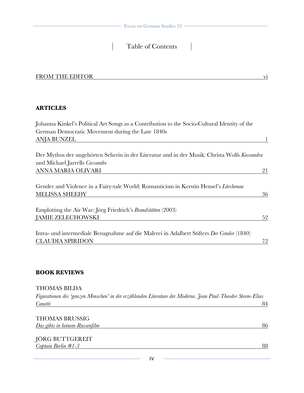# Table of Contents

#### FROM THE EDITOR vi

#### **ARTICLES**

| Johanna Kinkel's Political Art Songs as a Contribution to the Socio-Cultural Identity of the |    |
|----------------------------------------------------------------------------------------------|----|
| German Democratic Movement during the Late 1840s                                             |    |
| <b>ANJA BUNZEL</b>                                                                           |    |
|                                                                                              |    |
| Der Mythos der ungehörten Seherin in der Literatur und in der Musik: Christa Wolfs Kassandra |    |
| und Michael Jarrells Cassandre                                                               |    |
| ANNA MARIA OLIVARI                                                                           | 21 |
| Gender and Violence in a Fairy-tale World: Romanticism in Kerstin Hensel's Lärchenau         |    |
| <b>MELISSA SHEEDY</b>                                                                        | 36 |
| Emplotting the Air War: Jörg Friedrich's <i>Brandstätten</i> (2003)                          |    |
| <b>JAMIE ZELECHOWSKI</b>                                                                     | 52 |
| Intra- und intermediale Bezugnahme auf die Malerei in Adalbert Stifters Der Condor (1840)    |    |
| <b>CLAUDIA SPIRIDON</b>                                                                      | 72 |

#### **BOOK REVIEWS**

#### THOMAS BILDA

*Figurationen des 'ganzen Menschen' in der erzählenden Literature der Moderne. Jean Paul-Theodor Storm-Elias Canetti* 84

THOMAS BRUSSIG *Das gibts in keinem Russenfilm* 86

JÖRG BUTTGEREIT<br>Captain Berlin #1-3

iv

*Captain Berlin #1-3* 88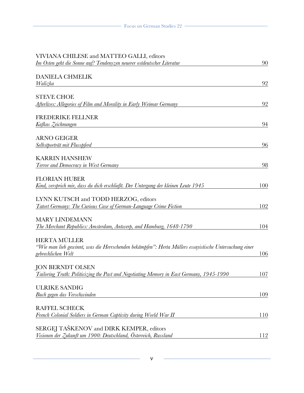| VIVIANA CHILESE and MATTEO GALLI, editors                                                                                                           |     |
|-----------------------------------------------------------------------------------------------------------------------------------------------------|-----|
| Im Osten geht die Sonne auf? Tendenyzen neuerer ostdeutscher Literatur                                                                              | 90  |
| <b>DANIELA CHMELIK</b><br>Walizka                                                                                                                   | 92  |
| <b>STEVE CHOE</b>                                                                                                                                   |     |
| Afterlives: Allegories of Film and Morality in Early Weimar Germany                                                                                 | 92  |
| <b>FREDERIKE FELLNER</b><br>Kafkas Zeichnungen                                                                                                      | 94  |
| <b>ARNO GEIGER</b><br>Selbstporträt mit Flusspferd                                                                                                  | 96  |
| <b>KARRIN HANSHEW</b><br>Terror and Democracy in West Germany                                                                                       | 98  |
| <b>FLORIAN HUBER</b><br>Kind, versprich mir, dass du dich erschließt. Der Untergang der kleinen Leute 1945                                          | 100 |
| LYNN KUTSCH and TODD HERZOG, editors<br><b>Tatort Germany: The Curious Case of German-Language Crime Fiction</b>                                    | 102 |
| <b>MARY LINDEMANN</b><br>The Merchant Republics: Amsterdam, Antwerp, and Hamburg, 1648-1790                                                         | 104 |
| <b>HERTA MÜLLER</b><br>"Wie man lieb gewinnt, was die Herrschenden bekämpfen": Herta Müllers essayistische Untersuchung einer<br>gebrechlichen Welt | 106 |
| <b>JON BERNDT OLSEN</b><br>Tailoring Truth: Politicizing the Past and Negotiating Memory in East Germany, 1945-1990                                 | 107 |
| <b>ULRIKE SANDIG</b><br>Buch gegen das Verschwinden                                                                                                 | 109 |
| <b>RAFFEL SCHECK</b><br>French Colonial Soldiers in German Captivity during World War II                                                            | 110 |
| SERGEJ TAŠKENOV and DIRK KEMPER, editors<br>Visionen der Zukunft um 1900: Deutschland, Österreich, Russland                                         | 112 |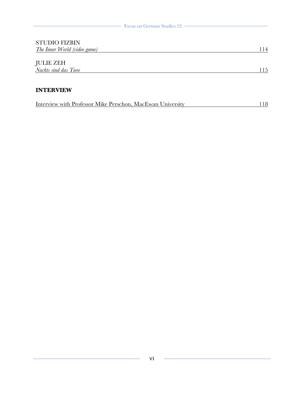| <b>STUDIO FIZBIN</b>                                       |     |
|------------------------------------------------------------|-----|
| <i>The Inner World (video game)</i>                        | 114 |
|                                                            |     |
| JULIE ZEH                                                  |     |
| Nachts sind das Tiere                                      | 115 |
|                                                            |     |
| <b>INTERVIEW</b>                                           |     |
|                                                            |     |
| Interview with Professor Mike Perschon, MacEwan University | 118 |